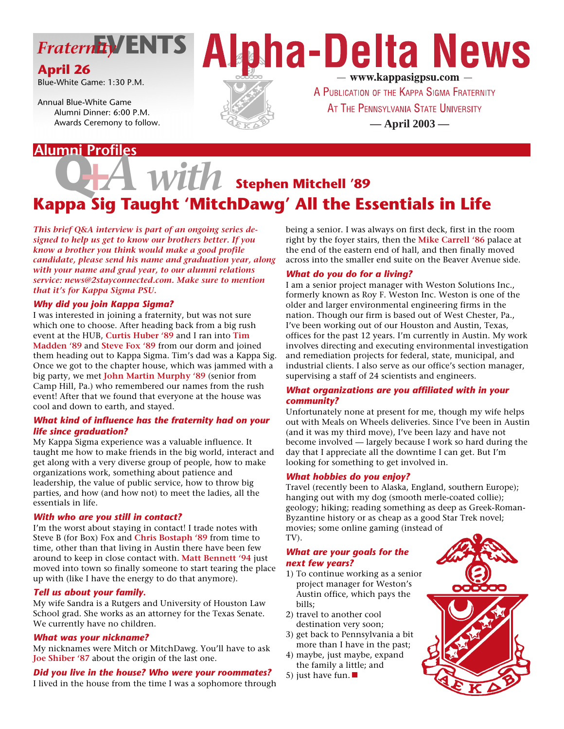

### **April 26**

Blue-White Game: 1:30 P.M.

Annual Blue-White Game Alumni Dinner: 6:00 P.M. Awards Ceremony to follow.

### **Alumni Profiles**





A PUBLICATION OF THE KAPPA SIGMA FRATERNITY AT THE PENNSYLVANIA STATE UNIVERSITY **— April 2003 —**

# $with$  stephen Mitchell '89 **Kappa Sig Taught 'MitchDawg' All the Essentials in Life**

*This brief Q&A interview is part of an ongoing series designed to help us get to know our brothers better. If you know a brother you think would make a good profile candidate, please send his name and graduation year, along with your name and grad year, to our alumni relations service: news@2stayconnected.com. Make sure to mention that it's for Kappa Sigma PSU.*

#### *Why did you join Kappa Sigma?*

I was interested in joining a fraternity, but was not sure which one to choose. After heading back from a big rush event at the HUB, **Curtis Huber '89** and I ran into **Tim Madden '89** and **Steve Fox '89** from our dorm and joined them heading out to Kappa Sigma. Tim's dad was a Kappa Sig. Once we got to the chapter house, which was jammed with a big party, we met **John Martin Murphy '89** (senior from Camp Hill, Pa.) who remembered our names from the rush event! After that we found that everyone at the house was cool and down to earth, and stayed.

#### *What kind of influence has the fraternity had on your life since graduation?*

My Kappa Sigma experience was a valuable influence. It taught me how to make friends in the big world, interact and get along with a very diverse group of people, how to make organizations work, something about patience and leadership, the value of public service, how to throw big parties, and how (and how not) to meet the ladies, all the essentials in life.

#### *With who are you still in contact?*

I'm the worst about staying in contact! I trade notes with Steve B (for Box) Fox and **Chris Bostaph '89** from time to time, other than that living in Austin there have been few around to keep in close contact with. **Matt Bennett '94** just moved into town so finally someone to start tearing the place up with (like I have the energy to do that anymore).

#### *Tell us about your family.*

My wife Sandra is a Rutgers and University of Houston Law School grad. She works as an attorney for the Texas Senate. We currently have no children.

#### *What was your nickname?*

My nicknames were Mitch or MitchDawg. You'll have to ask **Joe Shiber '87** about the origin of the last one.

#### *Did you live in the house? Who were your roommates?*

I lived in the house from the time I was a sophomore through

being a senior. I was always on first deck, first in the room right by the foyer stairs, then the **Mike Carrell '86** palace at the end of the eastern end of hall, and then finally moved across into the smaller end suite on the Beaver Avenue side.

#### *What do you do for a living?*

I am a senior project manager with Weston Solutions Inc., formerly known as Roy F. Weston Inc. Weston is one of the older and larger environmental engineering firms in the nation. Though our firm is based out of West Chester, Pa., I've been working out of our Houston and Austin, Texas, offices for the past 12 years. I'm currently in Austin. My work involves directing and executing environmental investigation and remediation projects for federal, state, municipal, and industrial clients. I also serve as our office's section manager, supervising a staff of 24 scientists and engineers.

#### *What organizations are you affiliated with in your community?*

Unfortunately none at present for me, though my wife helps out with Meals on Wheels deliveries. Since I've been in Austin (and it was my third move), I've been lazy and have not become involved — largely because I work so hard during the day that I appreciate all the downtime I can get. But I'm looking for something to get involved in.

#### *What hobbies do you enjoy?*

Travel (recently been to Alaska, England, southern Europe); hanging out with my dog (smooth merle-coated collie); geology; hiking; reading something as deep as Greek-Roman-Byzantine history or as cheap as a good Star Trek novel; movies; some online gaming (instead of TV).

#### *What are your goals for the next few years?*

- 1) To continue working as a senior project manager for Weston's Austin office, which pays the bills;
- 2) travel to another cool destination very soon;
- 3) get back to Pennsylvania a bit more than I have in the past;
- 4) maybe, just maybe, expand the family a little; and
- 5) just have fun. ■

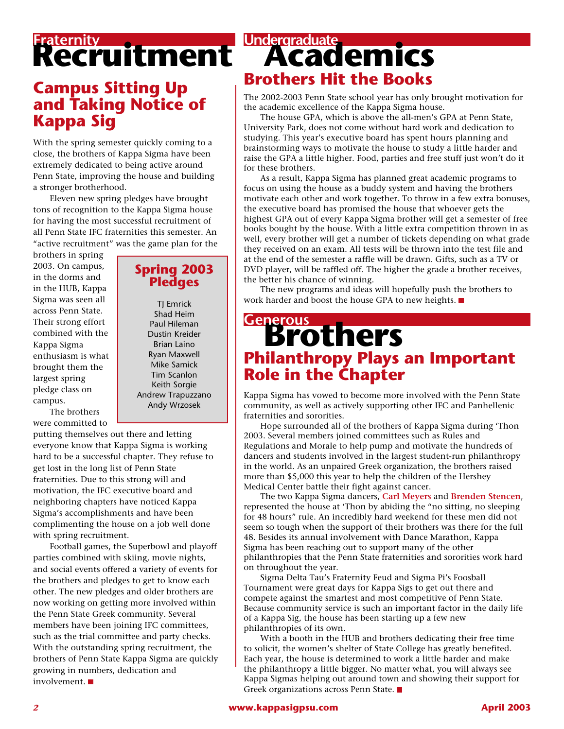# **Recruitment**

## **Campus Sitting Up and Taking Notice of Kappa Sig**

With the spring semester quickly coming to a close, the brothers of Kappa Sigma have been extremely dedicated to being active around Penn State, improving the house and building a stronger brotherhood.

Eleven new spring pledges have brought tons of recognition to the Kappa Sigma house for having the most successful recruitment of all Penn State IFC fraternities this semester. An "active recruitment" was the game plan for the

brothers in spring 2003. On campus, in the dorms and in the HUB, Kappa Sigma was seen all across Penn State. Their strong effort combined with the Kappa Sigma enthusiasm is what brought them the largest spring pledge class on campus.

The brothers were committed to

#### **Spring 2003 Pledges**

**TJ** Emrick Shad Heim Paul Hileman Dustin Kreider Brian Laino Ryan Maxwell Mike Samick Tim Scanlon Keith Sorgie Andrew Trapuzzano Andy Wrzosek

putting themselves out there and letting everyone know that Kappa Sigma is working hard to be a successful chapter. They refuse to get lost in the long list of Penn State fraternities. Due to this strong will and motivation, the IFC executive board and neighboring chapters have noticed Kappa Sigma's accomplishments and have been complimenting the house on a job well done with spring recruitment.

Football games, the Superbowl and playoff parties combined with skiing, movie nights, and social events offered a variety of events for the brothers and pledges to get to know each other. The new pledges and older brothers are now working on getting more involved within the Penn State Greek community. Several members have been joining IFC committees, such as the trial committee and party checks. With the outstanding spring recruitment, the brothers of Penn State Kappa Sigma are quickly growing in numbers, dedication and involvement.

# **Undergraduate**<br> **ACaO emics Brothers Hit the Books**

The 2002-2003 Penn State school year has only brought motivation for the academic excellence of the Kappa Sigma house.

The house GPA, which is above the all-men's GPA at Penn State, University Park, does not come without hard work and dedication to studying. This year's executive board has spent hours planning and brainstorming ways to motivate the house to study a little harder and raise the GPA a little higher. Food, parties and free stuff just won't do it for these brothers.

As a result, Kappa Sigma has planned great academic programs to focus on using the house as a buddy system and having the brothers motivate each other and work together. To throw in a few extra bonuses, the executive board has promised the house that whoever gets the highest GPA out of every Kappa Sigma brother will get a semester of free books bought by the house. With a little extra competition thrown in as well, every brother will get a number of tickets depending on what grade they received on an exam. All tests will be thrown into the test file and at the end of the semester a raffle will be drawn. Gifts, such as a TV or DVD player, will be raffled off. The higher the grade a brother receives, the better his chance of winning.

The new programs and ideas will hopefully push the brothers to work harder and boost the house GPA to new heights.

# **Brothers Generous Philanthropy Plays an Important Role in the Chapter**

Kappa Sigma has vowed to become more involved with the Penn State community, as well as actively supporting other IFC and Panhellenic fraternities and sororities.

Hope surrounded all of the brothers of Kappa Sigma during 'Thon 2003. Several members joined committees such as Rules and Regulations and Morale to help pump and motivate the hundreds of dancers and students involved in the largest student-run philanthropy in the world. As an unpaired Greek organization, the brothers raised more than \$5,000 this year to help the children of the Hershey Medical Center battle their fight against cancer.

The two Kappa Sigma dancers, **Carl Meyers** and **Brenden Stencen**, represented the house at 'Thon by abiding the "no sitting, no sleeping for 48 hours" rule. An incredibly hard weekend for these men did not seem so tough when the support of their brothers was there for the full 48. Besides its annual involvement with Dance Marathon, Kappa Sigma has been reaching out to support many of the other philanthropies that the Penn State fraternities and sororities work hard on throughout the year.

Sigma Delta Tau's Fraternity Feud and Sigma Pi's Foosball Tournament were great days for Kappa Sigs to get out there and compete against the smartest and most competitive of Penn State. Because community service is such an important factor in the daily life of a Kappa Sig, the house has been starting up a few new philanthropies of its own.

With a booth in the HUB and brothers dedicating their free time to solicit, the women's shelter of State College has greatly benefited. Each year, the house is determined to work a little harder and make the philanthropy a little bigger. No matter what, you will always see Kappa Sigmas helping out around town and showing their support for Greek organizations across Penn State.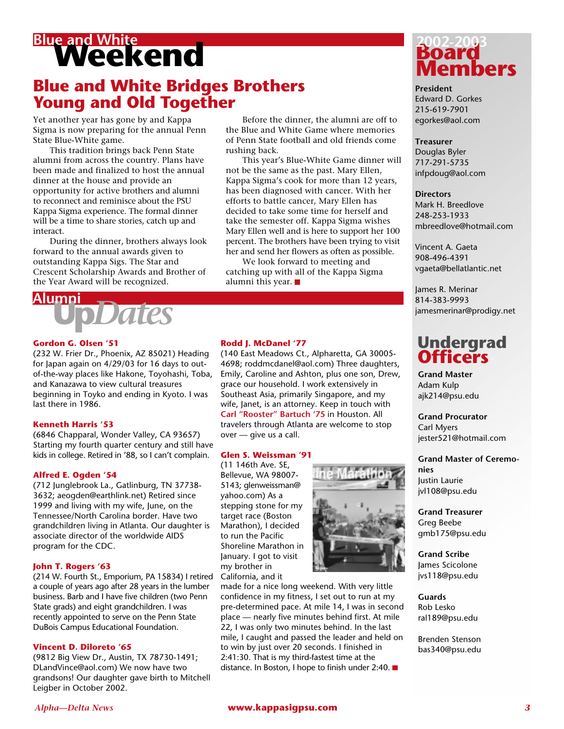# **Blue and White**<br> **Weekend**

# **Blue and White Bridges Brothers Young and Old Together**

Yet another year has gone by and Kappa Sigma is now preparing for the annual Penn State Blue-White game.

This tradition brings back Penn State alumni from across the country. Plans have been made and finalized to host the annual dinner at the house and provide an opportunity for active brothers and alumni to reconnect and reminisce about the PSU Kappa Sigma experience. The formal dinner will be a time to share stories, catch up and interact.

During the dinner, brothers always look forward to the annual awards given to outstanding Kappa Sigs. The Star and Crescent Scholarship Awards and Brother of the Year Award will be recognized.



#### **Gordon G. Olsen '51**

(232 W. Frier Dr., Phoenix, AZ 85021) Heading for Japan again on 4/29/03 for 16 days to outof-the-way places like Hakone, Toyohashi, Toba, and Kanazawa to view cultural treasures beginning in Toyko and ending in Kyoto. I was last there in 1986.

#### **Kenneth Harris '53**

(6846 Chapparal, Wonder Valley, CA 93657) Starting my fourth quarter century and still have kids in college. Retired in '88, so I can't complain.

#### **Alfred E. Ogden '54**

(712␣ Junglebrook␣ La., Gatlinburg, TN 37738- 3632; aeogden@earthlink.net) Retired since 1999 and living with my wife, June, on the Tennessee/North Carolina border. Have two grandchildren living in Atlanta. Our daughter is associate director of the worldwide AIDS program for the CDC.

#### **John T. Rogers '63**

(214 W. Fourth St., Emporium, PA 15834) I retired a couple of years ago after 28 years in the lumber business. Barb and I have five children (two Penn State grads) and eight grandchildren. I was recently appointed to serve on the Penn State DuBois Campus Educational Foundation.

#### **Vincent D. Diloreto '65**

(9812␣ Big␣ View␣ Dr., Austin, TX 78730-1491; DLandVince@aol.com) We now have two grandsons! Our daughter gave birth to Mitchell Leigber in October 2002.

Before the dinner, the alumni are off to the Blue and White Game where memories of Penn State football and old friends come rushing back.

This year's Blue-White Game dinner will not be the same as the past. Mary Ellen, Kappa Sigma's cook for more than 12 years, has been diagnosed with cancer. With her efforts to battle cancer, Mary Ellen has decided to take some time for herself and take the semester off. Kappa Sigma wishes Mary Ellen well and is here to support her 100 percent. The brothers have been trying to visit her and send her flowers as often as possible.

We look forward to meeting and catching up with all of the Kappa Sigma alumni this year.

#### **Rodd J. McDanel '77**

(140␣ East␣ Meadows␣ Ct., Alpharetta, GA 30005- 4698; roddmcdanel@aol.com) Three daughters, Emily, Caroline and Ashton, plus one son, Drew, grace our household. I work extensively in Southeast Asia, primarily Singapore, and my wife, Janet, is an attorney. Keep in touch with **Carl "Rooster" Bartuch '75** in Houston. All travelers through Atlanta are welcome to stop over — give us a call.

#### **Glen S. Weissman '91**

(11 146th Ave. SE, Bellevue, WA 98007- 5143; glenweissman@ yahoo.com) As a stepping stone for my target race (Boston Marathon), I decided to run the Pacific Shoreline Marathon in January. I got to visit my brother in California, and it



made for a nice long weekend. With very little confidence in my fitness, I set out to run at my pre-determined pace. At mile 14, I was in second place — nearly five minutes behind first. At mile 22, I was only two minutes behind. In the last mile, I caught and passed the leader and held on to win by just over 20 seconds. I finished in 2:41:30. That is my third-fastest time at the distance. In Boston, I hope to finish under 2:40. ■



**President** Edward D. Gorkes 215-619-7901 egorkes@aol.com

#### **Treasurer**

Douglas Byler 717-291-5735 infpdoug@aol.com

**Directors** Mark H. Breedlove 248-253-1933 mbreedlove@hotmail.com

Vincent A. Gaeta 908-496-4391 vgaeta@bellatlantic.net

James R. Merinar 814-383-9993 jamesmerinar@prodigy.net

## **Undergrad Officers**

**Grand Master** Adam Kulp ajk214@psu.edu

**Grand Procurator** Carl Myers jester521@hotmail.com

**Grand Master of Ceremonies** Justin Laurie

jvl108@psu.edu

**Grand Treasurer** Greg Beebe gmb175@psu.edu

**Grand Scribe** James Scicolone jvs118@psu.edu

**Guards** Rob Lesko ral189@psu.edu

Brenden Stenson bas340@psu.edu